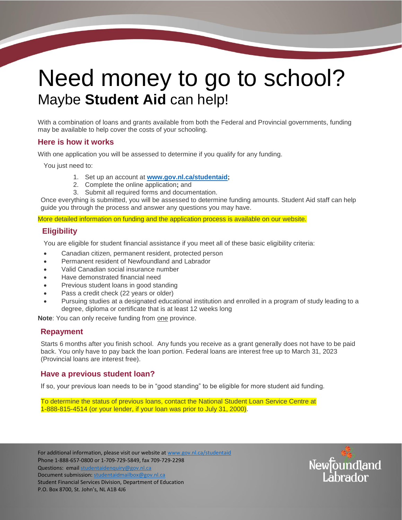# Need money to go to school? Maybe **Student Aid** can help!

With a combination of loans and grants available from both the Federal and Provincial governments, funding may be available to help cover the costs of your schooling.

## **Here is how it works**

With one application you will be assessed to determine if you qualify for any funding.

You just need to:

- 1. Set up an account at **[www.gov.nl.ca/studentaid;](http://www.gov.nl.ca/studentaid)**
- 2. Complete the online application**;** and
- 3. Submit all required forms and documentation.

Once everything is submitted, you will be assessed to determine funding amounts. Student Aid staff can help guide you through the process and answer any questions you may have.

More detailed information on funding and the application process is available on our website*.*

# **Eligibility**

You are eligible for student financial assistance if you meet all of these basic eligibility criteria:

- Canadian citizen, permanent resident, protected person
- Permanent resident of Newfoundland and Labrador
- Valid Canadian social insurance number
- Have demonstrated financial need
- Previous student loans in good standing
- Pass a credit check (22 years or older)
- Pursuing studies at a designated educational institution and enrolled in a program of study leading to a degree, diploma or certificate that is at least 12 weeks long

**Note**: You can only receive funding from one province.

# **Repayment**

Starts 6 months after you finish school. Any funds you receive as a grant generally does not have to be paid back. You only have to pay back the loan portion. Federal loans are interest free up to March 31, 2023 (Provincial loans are interest free).

# **Have a previous student loan?**

If so, your previous loan needs to be in "good standing" to be eligible for more student aid funding.

To determine the status of previous loans, contact the National Student Loan Service Centre at 1-888-815-4514 (or your lender, if your loan was prior to July 31, 2000).

For additional information, please visit our website a[t www.gov.nl.ca/studentaid](file://///PSNL.CA/AES/STJH/Shared/SFS/Client%20Services-Counseling/Communications/2015-16%20Communications/Application%20and%20Forms/Perm%20Dis/www.gov.nl.ca/studentaid) Phone 1-888-657-0800 or 1-709-729-5849, fax 709-729-2298 Questions: email [studentaidenquiry@gov.nl.ca](mailto:studentaidenquiry@gov.nl.ca) Document submission: [studentaidmailbox@gov.nl.ca](mailto:studentaidmailbox@gov.nl.ca) Student Financial Services Division, Department of Education P.O. Box 8700, St. John's, NL A1B 4J6

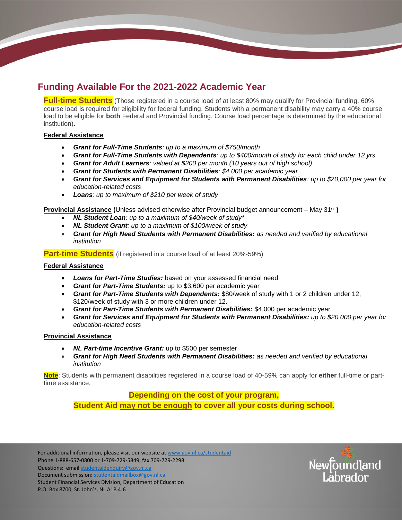# **Funding Available For the 2021-2022 Academic Year**

**Full-time Students** (Those registered in a course load of at least 80% may qualify for Provincial funding, 60% course load is required for eligibility for federal funding. Students with a permanent disability may carry a 40% course load to be eligible for **both** Federal and Provincial funding. Course load percentage is determined by the educational institution).

## **Federal Assistance**

- *Grant for Full-Time Students: up to a maximum of \$750/month*
- *Grant for Full-Time Students with Dependents: up to \$400/month of study for each child under 12 yrs.*
- *Grant for Adult Learners: valued at \$200 per month (10 years out of high school)*
- *Grant for Students with Permanent Disabilities: \$4,000 per academic year*
- *Grant for Services and Equipment for Students with Permanent Disabilities: up to \$20,000 per year for education-related costs*
- *Loans: up to maximum of \$210 per week of study*

**Provincial Assistance (**Unless advised otherwise after Provincial budget announcement – May 31st **)**

- *NL Student Loan: up to a maximum of \$40/week of study\**
- *NL Student Grant: up to a maximum of \$100/week of study*
- *Grant for High Need Students with Permanent Disabilities: as needed and verified by educational institution*

**Part-time Students** (if registered in a course load of at least 20%-59%)

#### **Federal Assistance**

- *Loans for Part-Time Studies:* based on your assessed financial need
- *Grant for Part-Time Students:* up to \$3,600 per academic year
- *Grant for Part-Time Students with Dependents:* \$80/week of study with 1 or 2 children under 12, \$120/week of study with 3 or more children under 12.
- *Grant for Part-Time Students with Permanent Disabilities:* \$4,000 per academic year
- *Grant for Services and Equipment for Students with Permanent Disabilities: up to \$20,000 per year for education-related costs*

#### **Provincial Assistance**

- *NL Part-time Incentive Grant:* up to \$500 per semester
- *Grant for High Need Students with Permanent Disabilities: as needed and verified by educational institution*

**Note**: Students with permanent disabilities registered in a course load of 40-59% can apply for **either** full-time or parttime assistance.

# **Depending on the cost of your program, Student Aid may not be enough to cover all your costs during school.**

For additional information, please visit our website a[t www.gov.nl.ca/studentaid](file://///PSNL.CA/AES/STJH/Shared/SFS/Client%20Services-Counseling/Communications/2015-16%20Communications/Application%20and%20Forms/Perm%20Dis/www.gov.nl.ca/studentaid) Phone 1-888-657-0800 or 1-709-729-5849, fax 709-729-2298 Questions: email [studentaidenquiry@gov.nl.ca](mailto:studentaidenquiry@gov.nl.ca) Document submission: [studentaidmailbox@gov.nl.ca](mailto:studentaidmailbox@gov.nl.ca) Student Financial Services Division, Department of Education P.O. Box 8700, St. John's, NL A1B 4J6